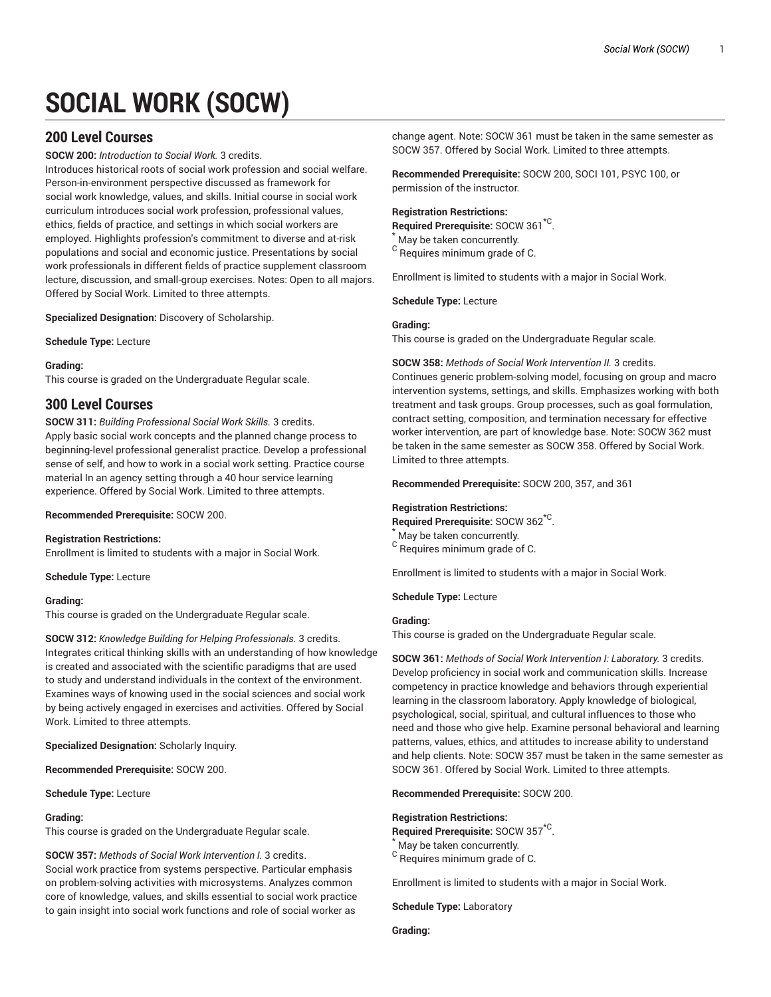# **SOCIAL WORK (SOCW)**

# **200 Level Courses**

**SOCW 200:** *Introduction to Social Work.* 3 credits.

Introduces historical roots of social work profession and social welfare. Person-in-environment perspective discussed as framework for social work knowledge, values, and skills. Initial course in social work curriculum introduces social work profession, professional values, ethics, fields of practice, and settings in which social workers are employed. Highlights profession's commitment to diverse and at-risk populations and social and economic justice. Presentations by social work professionals in different fields of practice supplement classroom lecture, discussion, and small-group exercises. Notes: Open to all majors. Offered by Social Work. Limited to three attempts.

**Specialized Designation:** Discovery of Scholarship.

**Schedule Type:** Lecture

## **Grading:**

This course is graded on the Undergraduate Regular scale.

# **300 Level Courses**

**SOCW 311:** *Building Professional Social Work Skills.* 3 credits. Apply basic social work concepts and the planned change process to beginning-level professional generalist practice. Develop a professional sense of self, and how to work in a social work setting. Practice course material In an agency setting through a 40 hour service learning experience. Offered by Social Work. Limited to three attempts.

**Recommended Prerequisite:** SOCW 200.

## **Registration Restrictions:**

Enrollment is limited to students with a major in Social Work.

**Schedule Type:** Lecture

## **Grading:**

This course is graded on the Undergraduate Regular scale.

**SOCW 312:** *Knowledge Building for Helping Professionals.* 3 credits. Integrates critical thinking skills with an understanding of how knowledge is created and associated with the scientific paradigms that are used to study and understand individuals in the context of the environment. Examines ways of knowing used in the social sciences and social work by being actively engaged in exercises and activities. Offered by Social Work. Limited to three attempts.

**Specialized Designation:** Scholarly Inquiry.

**Recommended Prerequisite:** SOCW 200.

**Schedule Type:** Lecture

## **Grading:**

This course is graded on the Undergraduate Regular scale.

**SOCW 357:** *Methods of Social Work Intervention I.* 3 credits. Social work practice from systems perspective. Particular emphasis on problem-solving activities with microsystems. Analyzes common core of knowledge, values, and skills essential to social work practice to gain insight into social work functions and role of social worker as

change agent. Note: SOCW 361 must be taken in the same semester as SOCW 357. Offered by Social Work. Limited to three attempts.

**Recommended Prerequisite:** SOCW 200, SOCI 101, PSYC 100, or permission of the instructor.

## **Registration Restrictions:**

**Required Prerequisite:** SOCW 361\*C .

May be taken concurrently.  $^{\rm C}$  Requires minimum grade of C.

Enrollment is limited to students with a major in Social Work.

**Schedule Type:** Lecture

## **Grading:**

This course is graded on the Undergraduate Regular scale.

**SOCW 358:** *Methods of Social Work Intervention II.* 3 credits.

Continues generic problem-solving model, focusing on group and macro intervention systems, settings, and skills. Emphasizes working with both treatment and task groups. Group processes, such as goal formulation, contract setting, composition, and termination necessary for effective worker intervention, are part of knowledge base. Note: SOCW 362 must be taken in the same semester as SOCW 358. Offered by Social Work. Limited to three attempts.

**Recommended Prerequisite:** SOCW 200, 357, and 361

## **Registration Restrictions:**

**Required Prerequisite:** SOCW 362\*C . May be taken concurrently.

<sup>C</sup> Requires minimum grade of C.

Enrollment is limited to students with a major in Social Work.

**Schedule Type:** Lecture

## **Grading:**

This course is graded on the Undergraduate Regular scale.

**SOCW 361:** *Methods of Social Work Intervention I: Laboratory.* 3 credits. Develop proficiency in social work and communication skills. Increase competency in practice knowledge and behaviors through experiential learning in the classroom laboratory. Apply knowledge of biological, psychological, social, spiritual, and cultural influences to those who need and those who give help. Examine personal behavioral and learning patterns, values, ethics, and attitudes to increase ability to understand and help clients. Note: SOCW 357 must be taken in the same semester as SOCW 361. Offered by Social Work. Limited to three attempts.

**Recommended Prerequisite:** SOCW 200.

## **Registration Restrictions:**

**Required Prerequisite:** SOCW 357\*C . May be taken concurrently.

<sup>C</sup> Requires minimum grade of C.

Enrollment is limited to students with a major in Social Work.

**Schedule Type:** Laboratory

**Grading:**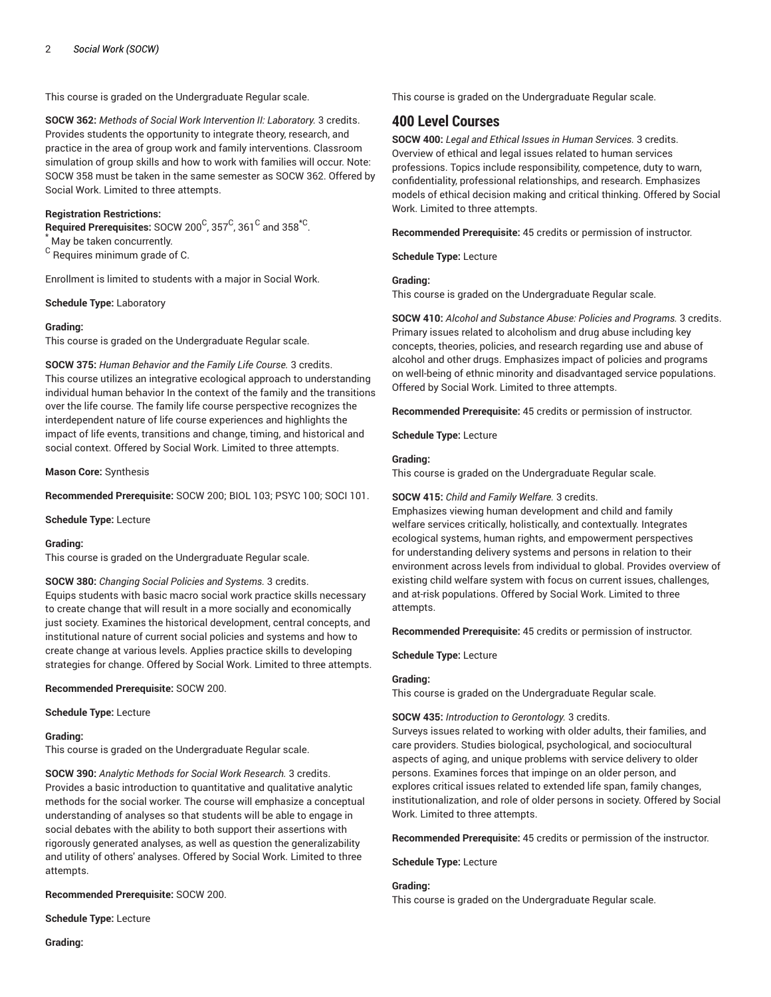This course is graded on the Undergraduate Regular scale.

**SOCW 362:** *Methods of Social Work Intervention II: Laboratory.* 3 credits. Provides students the opportunity to integrate theory, research, and practice in the area of group work and family interventions. Classroom simulation of group skills and how to work with families will occur. Note: SOCW 358 must be taken in the same semester as SOCW 362. Offered by Social Work. Limited to three attempts.

## **Registration Restrictions:**

 $\mathsf{Required\ Pre requires}$  : SOCW 200<sup>C</sup>, 357<sup>C</sup>, 361<sup>C</sup> and 358<sup>\*C</sup>. May be taken concurrently.

 $^{\rm C}$  Requires minimum grade of C.

Enrollment is limited to students with a major in Social Work.

**Schedule Type:** Laboratory

#### **Grading:**

This course is graded on the Undergraduate Regular scale.

**SOCW 375:** *Human Behavior and the Family Life Course.* 3 credits.

This course utilizes an integrative ecological approach to understanding individual human behavior In the context of the family and the transitions over the life course. The family life course perspective recognizes the interdependent nature of life course experiences and highlights the impact of life events, transitions and change, timing, and historical and social context. Offered by Social Work. Limited to three attempts.

**Mason Core:** Synthesis

**Recommended Prerequisite:** SOCW 200; BIOL 103; PSYC 100; SOCI 101.

**Schedule Type:** Lecture

#### **Grading:**

This course is graded on the Undergraduate Regular scale.

**SOCW 380:** *Changing Social Policies and Systems.* 3 credits. Equips students with basic macro social work practice skills necessary to create change that will result in a more socially and economically just society. Examines the historical development, central concepts, and institutional nature of current social policies and systems and how to create change at various levels. Applies practice skills to developing strategies for change. Offered by Social Work. Limited to three attempts.

**Recommended Prerequisite:** SOCW 200.

**Schedule Type:** Lecture

#### **Grading:**

This course is graded on the Undergraduate Regular scale.

**SOCW 390:** *Analytic Methods for Social Work Research.* 3 credits. Provides a basic introduction to quantitative and qualitative analytic methods for the social worker. The course will emphasize a conceptual understanding of analyses so that students will be able to engage in social debates with the ability to both support their assertions with rigorously generated analyses, as well as question the generalizability and utility of others' analyses. Offered by Social Work. Limited to three attempts.

**Recommended Prerequisite:** SOCW 200.

**Schedule Type:** Lecture

This course is graded on the Undergraduate Regular scale.

# **400 Level Courses**

**SOCW 400:** *Legal and Ethical Issues in Human Services.* 3 credits. Overview of ethical and legal issues related to human services professions. Topics include responsibility, competence, duty to warn, confidentiality, professional relationships, and research. Emphasizes models of ethical decision making and critical thinking. Offered by Social Work. Limited to three attempts.

**Recommended Prerequisite:** 45 credits or permission of instructor.

**Schedule Type:** Lecture

## **Grading:**

This course is graded on the Undergraduate Regular scale.

**SOCW 410:** *Alcohol and Substance Abuse: Policies and Programs.* 3 credits. Primary issues related to alcoholism and drug abuse including key concepts, theories, policies, and research regarding use and abuse of alcohol and other drugs. Emphasizes impact of policies and programs on well-being of ethnic minority and disadvantaged service populations. Offered by Social Work. Limited to three attempts.

**Recommended Prerequisite:** 45 credits or permission of instructor.

**Schedule Type:** Lecture

## **Grading:**

This course is graded on the Undergraduate Regular scale.

#### **SOCW 415:** *Child and Family Welfare.* 3 credits.

Emphasizes viewing human development and child and family welfare services critically, holistically, and contextually. Integrates ecological systems, human rights, and empowerment perspectives for understanding delivery systems and persons in relation to their environment across levels from individual to global. Provides overview of existing child welfare system with focus on current issues, challenges, and at-risk populations. Offered by Social Work. Limited to three attempts.

**Recommended Prerequisite:** 45 credits or permission of instructor.

**Schedule Type:** Lecture

#### **Grading:**

This course is graded on the Undergraduate Regular scale.

#### **SOCW 435:** *Introduction to Gerontology.* 3 credits.

Surveys issues related to working with older adults, their families, and care providers. Studies biological, psychological, and sociocultural aspects of aging, and unique problems with service delivery to older persons. Examines forces that impinge on an older person, and explores critical issues related to extended life span, family changes, institutionalization, and role of older persons in society. Offered by Social Work. Limited to three attempts.

**Recommended Prerequisite:** 45 credits or permission of the instructor.

**Schedule Type:** Lecture

#### **Grading:**

This course is graded on the Undergraduate Regular scale.

**Grading:**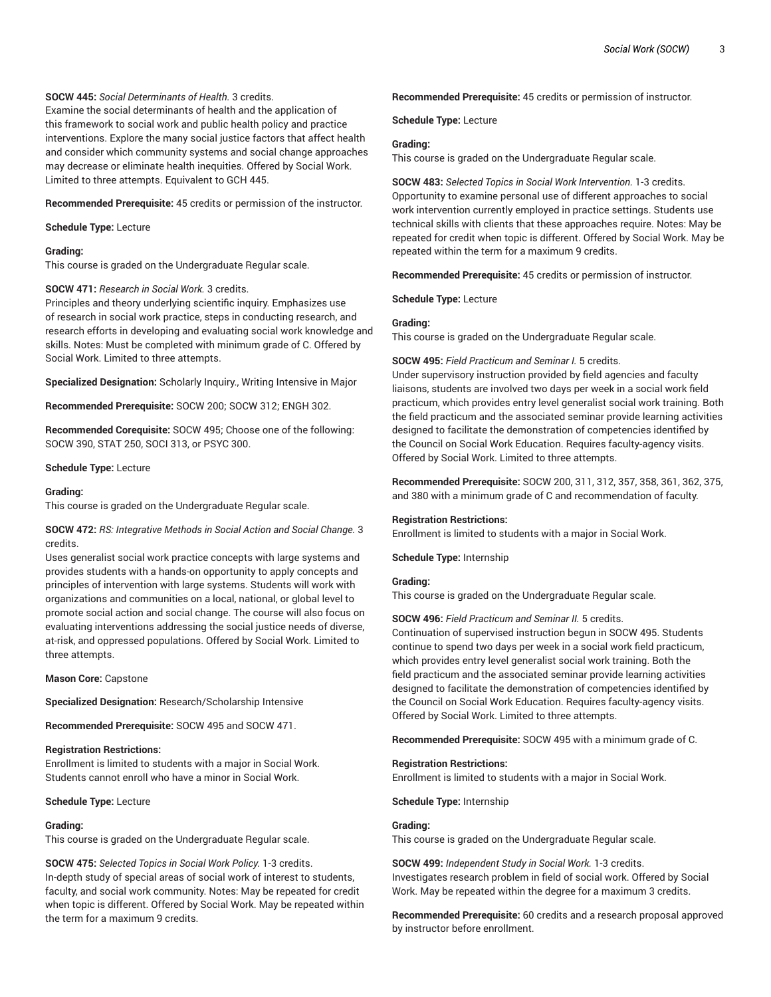## **SOCW 445:** *Social Determinants of Health.* 3 credits.

Examine the social determinants of health and the application of this framework to social work and public health policy and practice interventions. Explore the many social justice factors that affect health and consider which community systems and social change approaches may decrease or eliminate health inequities. Offered by Social Work. Limited to three attempts. Equivalent to GCH 445.

**Recommended Prerequisite:** 45 credits or permission of the instructor.

**Schedule Type:** Lecture

## **Grading:**

This course is graded on the Undergraduate Regular scale.

## **SOCW 471:** *Research in Social Work.* 3 credits.

Principles and theory underlying scientific inquiry. Emphasizes use of research in social work practice, steps in conducting research, and research efforts in developing and evaluating social work knowledge and skills. Notes: Must be completed with minimum grade of C. Offered by Social Work. Limited to three attempts.

**Specialized Designation:** Scholarly Inquiry., Writing Intensive in Major

**Recommended Prerequisite:** SOCW 200; SOCW 312; ENGH 302.

**Recommended Corequisite:** SOCW 495; Choose one of the following: SOCW 390, STAT 250, SOCI 313, or PSYC 300.

**Schedule Type:** Lecture

#### **Grading:**

This course is graded on the Undergraduate Regular scale.

## **SOCW 472:** *RS: Integrative Methods in Social Action and Social Change.* 3 credits.

Uses generalist social work practice concepts with large systems and provides students with a hands-on opportunity to apply concepts and principles of intervention with large systems. Students will work with organizations and communities on a local, national, or global level to promote social action and social change. The course will also focus on evaluating interventions addressing the social justice needs of diverse, at-risk, and oppressed populations. Offered by Social Work. Limited to three attempts.

**Mason Core:** Capstone

**Specialized Designation:** Research/Scholarship Intensive

**Recommended Prerequisite:** SOCW 495 and SOCW 471.

## **Registration Restrictions:**

Enrollment is limited to students with a major in Social Work. Students cannot enroll who have a minor in Social Work.

**Schedule Type:** Lecture

#### **Grading:**

This course is graded on the Undergraduate Regular scale.

**SOCW 475:** *Selected Topics in Social Work Policy.* 1-3 credits. In-depth study of special areas of social work of interest to students, faculty, and social work community. Notes: May be repeated for credit when topic is different. Offered by Social Work. May be repeated within the term for a maximum 9 credits.

**Recommended Prerequisite:** 45 credits or permission of instructor.

**Schedule Type:** Lecture

## **Grading:**

This course is graded on the Undergraduate Regular scale.

**SOCW 483:** *Selected Topics in Social Work Intervention.* 1-3 credits. Opportunity to examine personal use of different approaches to social work intervention currently employed in practice settings. Students use technical skills with clients that these approaches require. Notes: May be repeated for credit when topic is different. Offered by Social Work. May be repeated within the term for a maximum 9 credits.

**Recommended Prerequisite:** 45 credits or permission of instructor.

**Schedule Type:** Lecture

## **Grading:**

This course is graded on the Undergraduate Regular scale.

## **SOCW 495:** *Field Practicum and Seminar I.* 5 credits.

Under supervisory instruction provided by field agencies and faculty liaisons, students are involved two days per week in a social work field practicum, which provides entry level generalist social work training. Both the field practicum and the associated seminar provide learning activities designed to facilitate the demonstration of competencies identified by the Council on Social Work Education. Requires faculty-agency visits. Offered by Social Work. Limited to three attempts.

**Recommended Prerequisite:** SOCW 200, 311, 312, 357, 358, 361, 362, 375, and 380 with a minimum grade of C and recommendation of faculty.

## **Registration Restrictions:**

Enrollment is limited to students with a major in Social Work.

**Schedule Type:** Internship

## **Grading:**

This course is graded on the Undergraduate Regular scale.

## **SOCW 496:** *Field Practicum and Seminar II.* 5 credits.

Continuation of supervised instruction begun in SOCW 495. Students continue to spend two days per week in a social work field practicum, which provides entry level generalist social work training. Both the field practicum and the associated seminar provide learning activities designed to facilitate the demonstration of competencies identified by the Council on Social Work Education. Requires faculty-agency visits. Offered by Social Work. Limited to three attempts.

**Recommended Prerequisite:** SOCW 495 with a minimum grade of C.

#### **Registration Restrictions:**

Enrollment is limited to students with a major in Social Work.

**Schedule Type:** Internship

## **Grading:**

This course is graded on the Undergraduate Regular scale.

**SOCW 499:** *Independent Study in Social Work.* 1-3 credits. Investigates research problem in field of social work. Offered by Social Work. May be repeated within the degree for a maximum 3 credits.

**Recommended Prerequisite:** 60 credits and a research proposal approved by instructor before enrollment.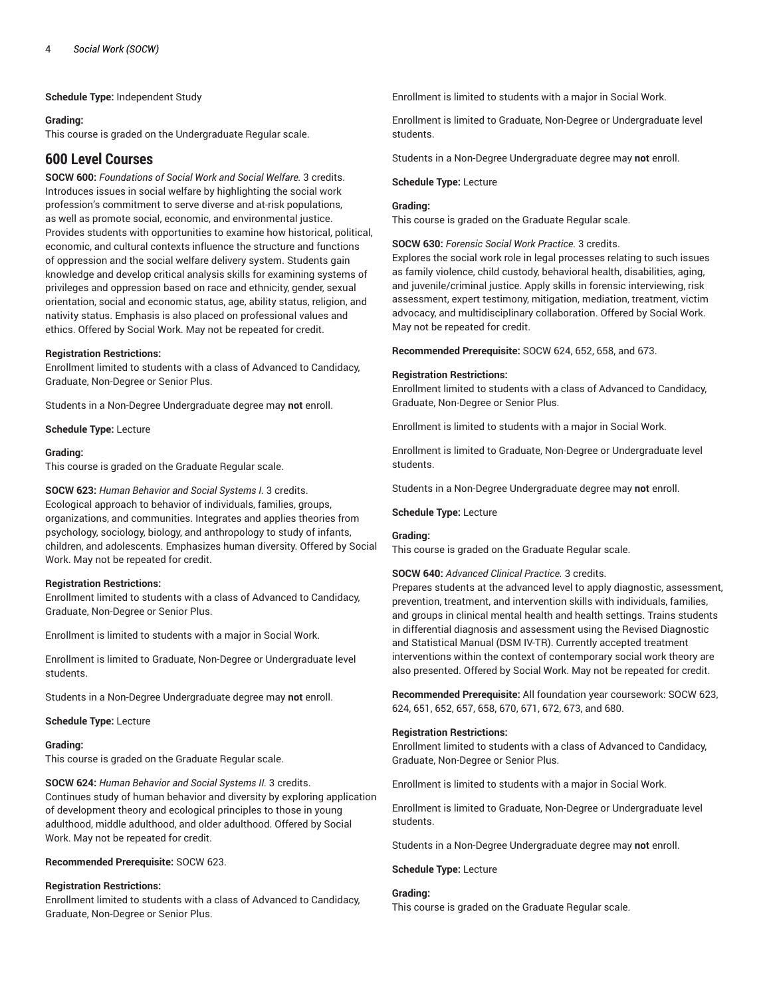**Schedule Type:** Independent Study

## **Grading:**

This course is graded on the Undergraduate Regular scale.

# **600 Level Courses**

**SOCW 600:** *Foundations of Social Work and Social Welfare.* 3 credits. Introduces issues in social welfare by highlighting the social work profession's commitment to serve diverse and at-risk populations, as well as promote social, economic, and environmental justice. Provides students with opportunities to examine how historical, political, economic, and cultural contexts influence the structure and functions of oppression and the social welfare delivery system. Students gain knowledge and develop critical analysis skills for examining systems of privileges and oppression based on race and ethnicity, gender, sexual orientation, social and economic status, age, ability status, religion, and nativity status. Emphasis is also placed on professional values and ethics. Offered by Social Work. May not be repeated for credit.

## **Registration Restrictions:**

Enrollment limited to students with a class of Advanced to Candidacy, Graduate, Non-Degree or Senior Plus.

Students in a Non-Degree Undergraduate degree may **not** enroll.

**Schedule Type:** Lecture

### **Grading:**

This course is graded on the Graduate Regular scale.

**SOCW 623:** *Human Behavior and Social Systems I.* 3 credits.

Ecological approach to behavior of individuals, families, groups, organizations, and communities. Integrates and applies theories from psychology, sociology, biology, and anthropology to study of infants, children, and adolescents. Emphasizes human diversity. Offered by Social Work. May not be repeated for credit.

## **Registration Restrictions:**

Enrollment limited to students with a class of Advanced to Candidacy, Graduate, Non-Degree or Senior Plus.

Enrollment is limited to students with a major in Social Work.

Enrollment is limited to Graduate, Non-Degree or Undergraduate level students.

Students in a Non-Degree Undergraduate degree may **not** enroll.

**Schedule Type:** Lecture

#### **Grading:**

This course is graded on the Graduate Regular scale.

**SOCW 624:** *Human Behavior and Social Systems II.* 3 credits. Continues study of human behavior and diversity by exploring application of development theory and ecological principles to those in young adulthood, middle adulthood, and older adulthood. Offered by Social Work. May not be repeated for credit.

## **Recommended Prerequisite:** SOCW 623.

## **Registration Restrictions:**

Enrollment limited to students with a class of Advanced to Candidacy, Graduate, Non-Degree or Senior Plus.

Enrollment is limited to students with a major in Social Work.

Enrollment is limited to Graduate, Non-Degree or Undergraduate level students.

Students in a Non-Degree Undergraduate degree may **not** enroll.

#### **Schedule Type:** Lecture

## **Grading:**

This course is graded on the Graduate Regular scale.

**SOCW 630:** *Forensic Social Work Practice.* 3 credits.

Explores the social work role in legal processes relating to such issues as family violence, child custody, behavioral health, disabilities, aging, and juvenile/criminal justice. Apply skills in forensic interviewing, risk assessment, expert testimony, mitigation, mediation, treatment, victim advocacy, and multidisciplinary collaboration. Offered by Social Work. May not be repeated for credit.

**Recommended Prerequisite:** SOCW 624, 652, 658, and 673.

### **Registration Restrictions:**

Enrollment limited to students with a class of Advanced to Candidacy, Graduate, Non-Degree or Senior Plus.

Enrollment is limited to students with a major in Social Work.

Enrollment is limited to Graduate, Non-Degree or Undergraduate level students.

Students in a Non-Degree Undergraduate degree may **not** enroll.

**Schedule Type:** Lecture

## **Grading:**

This course is graded on the Graduate Regular scale.

**SOCW 640:** *Advanced Clinical Practice.* 3 credits.

Prepares students at the advanced level to apply diagnostic, assessment, prevention, treatment, and intervention skills with individuals, families, and groups in clinical mental health and health settings. Trains students in differential diagnosis and assessment using the Revised Diagnostic and Statistical Manual (DSM IV-TR). Currently accepted treatment interventions within the context of contemporary social work theory are also presented. Offered by Social Work. May not be repeated for credit.

**Recommended Prerequisite:** All foundation year coursework: SOCW 623, 624, 651, 652, 657, 658, 670, 671, 672, 673, and 680.

## **Registration Restrictions:**

Enrollment limited to students with a class of Advanced to Candidacy, Graduate, Non-Degree or Senior Plus.

Enrollment is limited to students with a major in Social Work.

Enrollment is limited to Graduate, Non-Degree or Undergraduate level students.

Students in a Non-Degree Undergraduate degree may **not** enroll.

## **Schedule Type:** Lecture

**Grading:**

This course is graded on the Graduate Regular scale.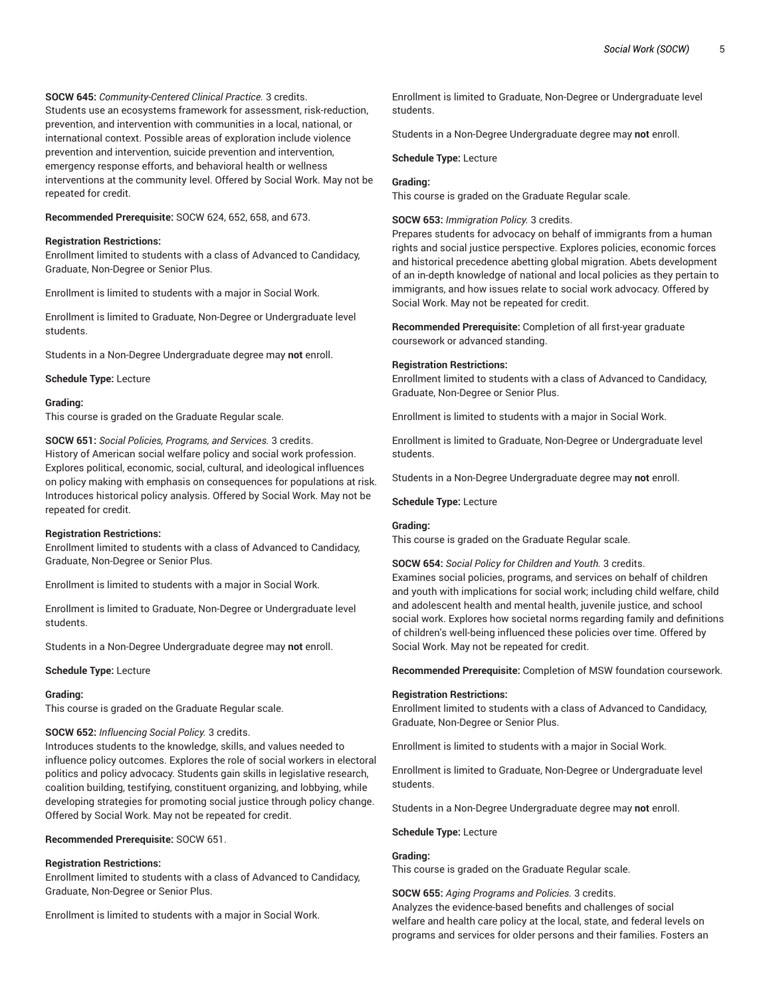**SOCW 645:** *Community-Centered Clinical Practice.* 3 credits.

Students use an ecosystems framework for assessment, risk-reduction, prevention, and intervention with communities in a local, national, or international context. Possible areas of exploration include violence prevention and intervention, suicide prevention and intervention, emergency response efforts, and behavioral health or wellness interventions at the community level. Offered by Social Work. May not be repeated for credit.

**Recommended Prerequisite:** SOCW 624, 652, 658, and 673.

## **Registration Restrictions:**

Enrollment limited to students with a class of Advanced to Candidacy, Graduate, Non-Degree or Senior Plus.

Enrollment is limited to students with a major in Social Work.

Enrollment is limited to Graduate, Non-Degree or Undergraduate level students.

Students in a Non-Degree Undergraduate degree may **not** enroll.

**Schedule Type:** Lecture

### **Grading:**

This course is graded on the Graduate Regular scale.

**SOCW 651:** *Social Policies, Programs, and Services.* 3 credits. History of American social welfare policy and social work profession. Explores political, economic, social, cultural, and ideological influences on policy making with emphasis on consequences for populations at risk. Introduces historical policy analysis. Offered by Social Work. May not be repeated for credit.

## **Registration Restrictions:**

Enrollment limited to students with a class of Advanced to Candidacy, Graduate, Non-Degree or Senior Plus.

Enrollment is limited to students with a major in Social Work.

Enrollment is limited to Graduate, Non-Degree or Undergraduate level students.

Students in a Non-Degree Undergraduate degree may **not** enroll.

#### **Schedule Type:** Lecture

#### **Grading:**

This course is graded on the Graduate Regular scale.

## **SOCW 652:** *Influencing Social Policy.* 3 credits.

Introduces students to the knowledge, skills, and values needed to influence policy outcomes. Explores the role of social workers in electoral politics and policy advocacy. Students gain skills in legislative research, coalition building, testifying, constituent organizing, and lobbying, while developing strategies for promoting social justice through policy change. Offered by Social Work. May not be repeated for credit.

#### **Recommended Prerequisite:** SOCW 651.

## **Registration Restrictions:**

Enrollment limited to students with a class of Advanced to Candidacy, Graduate, Non-Degree or Senior Plus.

Enrollment is limited to students with a major in Social Work.

Enrollment is limited to Graduate, Non-Degree or Undergraduate level students.

Students in a Non-Degree Undergraduate degree may **not** enroll.

**Schedule Type:** Lecture

## **Grading:**

This course is graded on the Graduate Regular scale.

**SOCW 653:** *Immigration Policy.* 3 credits.

Prepares students for advocacy on behalf of immigrants from a human rights and social justice perspective. Explores policies, economic forces and historical precedence abetting global migration. Abets development of an in-depth knowledge of national and local policies as they pertain to immigrants, and how issues relate to social work advocacy. Offered by Social Work. May not be repeated for credit.

**Recommended Prerequisite:** Completion of all first-year graduate coursework or advanced standing.

### **Registration Restrictions:**

Enrollment limited to students with a class of Advanced to Candidacy, Graduate, Non-Degree or Senior Plus.

Enrollment is limited to students with a major in Social Work.

Enrollment is limited to Graduate, Non-Degree or Undergraduate level students.

Students in a Non-Degree Undergraduate degree may **not** enroll.

## **Schedule Type:** Lecture

## **Grading:**

This course is graded on the Graduate Regular scale.

**SOCW 654:** *Social Policy for Children and Youth.* 3 credits.

Examines social policies, programs, and services on behalf of children and youth with implications for social work; including child welfare, child and adolescent health and mental health, juvenile justice, and school social work. Explores how societal norms regarding family and definitions of children's well-being influenced these policies over time. Offered by Social Work. May not be repeated for credit.

**Recommended Prerequisite:** Completion of MSW foundation coursework.

#### **Registration Restrictions:**

Enrollment limited to students with a class of Advanced to Candidacy, Graduate, Non-Degree or Senior Plus.

Enrollment is limited to students with a major in Social Work.

Enrollment is limited to Graduate, Non-Degree or Undergraduate level students.

Students in a Non-Degree Undergraduate degree may **not** enroll.

**Schedule Type:** Lecture

## **Grading:**

This course is graded on the Graduate Regular scale.

#### **SOCW 655:** *Aging Programs and Policies.* 3 credits.

Analyzes the evidence-based benefits and challenges of social welfare and health care policy at the local, state, and federal levels on programs and services for older persons and their families. Fosters an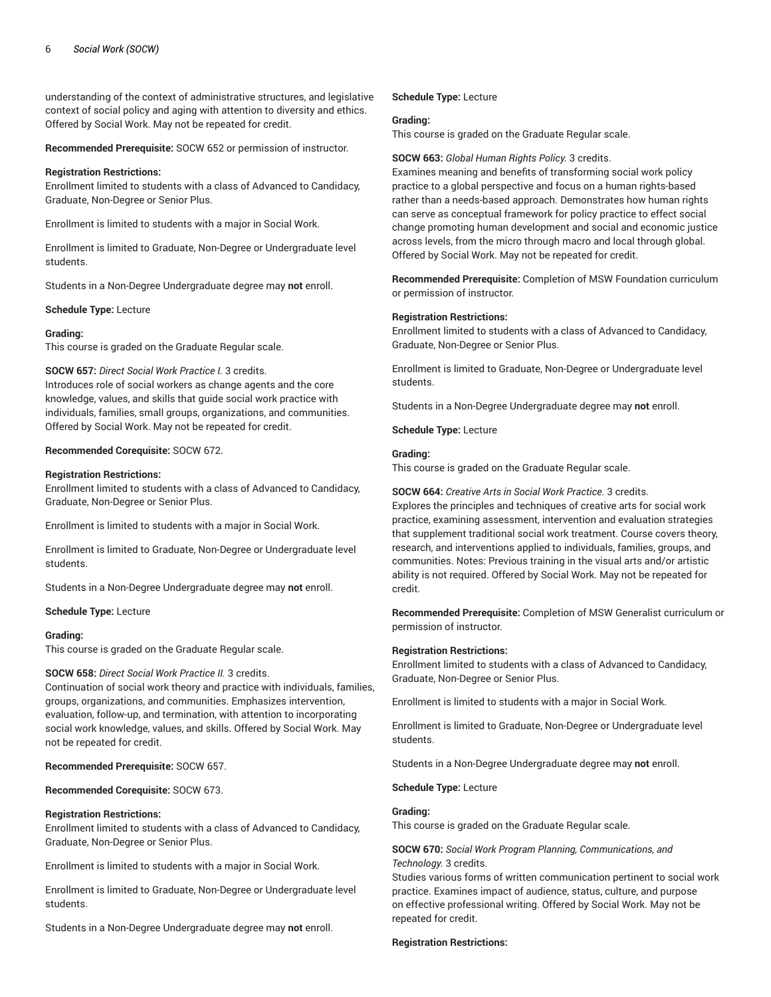understanding of the context of administrative structures, and legislative context of social policy and aging with attention to diversity and ethics. Offered by Social Work. May not be repeated for credit.

**Recommended Prerequisite:** SOCW 652 or permission of instructor.

### **Registration Restrictions:**

Enrollment limited to students with a class of Advanced to Candidacy, Graduate, Non-Degree or Senior Plus.

Enrollment is limited to students with a major in Social Work.

Enrollment is limited to Graduate, Non-Degree or Undergraduate level students.

Students in a Non-Degree Undergraduate degree may **not** enroll.

### **Schedule Type:** Lecture

## **Grading:**

This course is graded on the Graduate Regular scale.

#### **SOCW 657:** *Direct Social Work Practice I.* 3 credits.

Introduces role of social workers as change agents and the core knowledge, values, and skills that guide social work practice with individuals, families, small groups, organizations, and communities. Offered by Social Work. May not be repeated for credit.

## **Recommended Corequisite:** SOCW 672.

#### **Registration Restrictions:**

Enrollment limited to students with a class of Advanced to Candidacy, Graduate, Non-Degree or Senior Plus.

Enrollment is limited to students with a major in Social Work.

Enrollment is limited to Graduate, Non-Degree or Undergraduate level students.

Students in a Non-Degree Undergraduate degree may **not** enroll.

#### **Schedule Type:** Lecture

#### **Grading:**

This course is graded on the Graduate Regular scale.

#### **SOCW 658:** *Direct Social Work Practice II.* 3 credits.

Continuation of social work theory and practice with individuals, families, groups, organizations, and communities. Emphasizes intervention, evaluation, follow-up, and termination, with attention to incorporating social work knowledge, values, and skills. Offered by Social Work. May not be repeated for credit.

**Recommended Prerequisite:** SOCW 657.

**Recommended Corequisite:** SOCW 673.

## **Registration Restrictions:**

Enrollment limited to students with a class of Advanced to Candidacy, Graduate, Non-Degree or Senior Plus.

Enrollment is limited to students with a major in Social Work.

Enrollment is limited to Graduate, Non-Degree or Undergraduate level students.

Students in a Non-Degree Undergraduate degree may **not** enroll.

## **Schedule Type:** Lecture

#### **Grading:**

This course is graded on the Graduate Regular scale.

#### **SOCW 663:** *Global Human Rights Policy.* 3 credits.

Examines meaning and benefits of transforming social work policy practice to a global perspective and focus on a human rights-based rather than a needs-based approach. Demonstrates how human rights can serve as conceptual framework for policy practice to effect social change promoting human development and social and economic justice across levels, from the micro through macro and local through global. Offered by Social Work. May not be repeated for credit.

**Recommended Prerequisite:** Completion of MSW Foundation curriculum or permission of instructor.

### **Registration Restrictions:**

Enrollment limited to students with a class of Advanced to Candidacy, Graduate, Non-Degree or Senior Plus.

Enrollment is limited to Graduate, Non-Degree or Undergraduate level students.

Students in a Non-Degree Undergraduate degree may **not** enroll.

**Schedule Type:** Lecture

## **Grading:**

This course is graded on the Graduate Regular scale.

**SOCW 664:** *Creative Arts in Social Work Practice.* 3 credits.

Explores the principles and techniques of creative arts for social work practice, examining assessment, intervention and evaluation strategies that supplement traditional social work treatment. Course covers theory, research, and interventions applied to individuals, families, groups, and communities. Notes: Previous training in the visual arts and/or artistic ability is not required. Offered by Social Work. May not be repeated for credit.

**Recommended Prerequisite:** Completion of MSW Generalist curriculum or permission of instructor.

#### **Registration Restrictions:**

Enrollment limited to students with a class of Advanced to Candidacy, Graduate, Non-Degree or Senior Plus.

Enrollment is limited to students with a major in Social Work.

Enrollment is limited to Graduate, Non-Degree or Undergraduate level students.

Students in a Non-Degree Undergraduate degree may **not** enroll.

#### **Schedule Type:** Lecture

#### **Grading:**

This course is graded on the Graduate Regular scale.

**SOCW 670:** *Social Work Program Planning, Communications, and Technology.* 3 credits.

Studies various forms of written communication pertinent to social work practice. Examines impact of audience, status, culture, and purpose on effective professional writing. Offered by Social Work. May not be repeated for credit.

#### **Registration Restrictions:**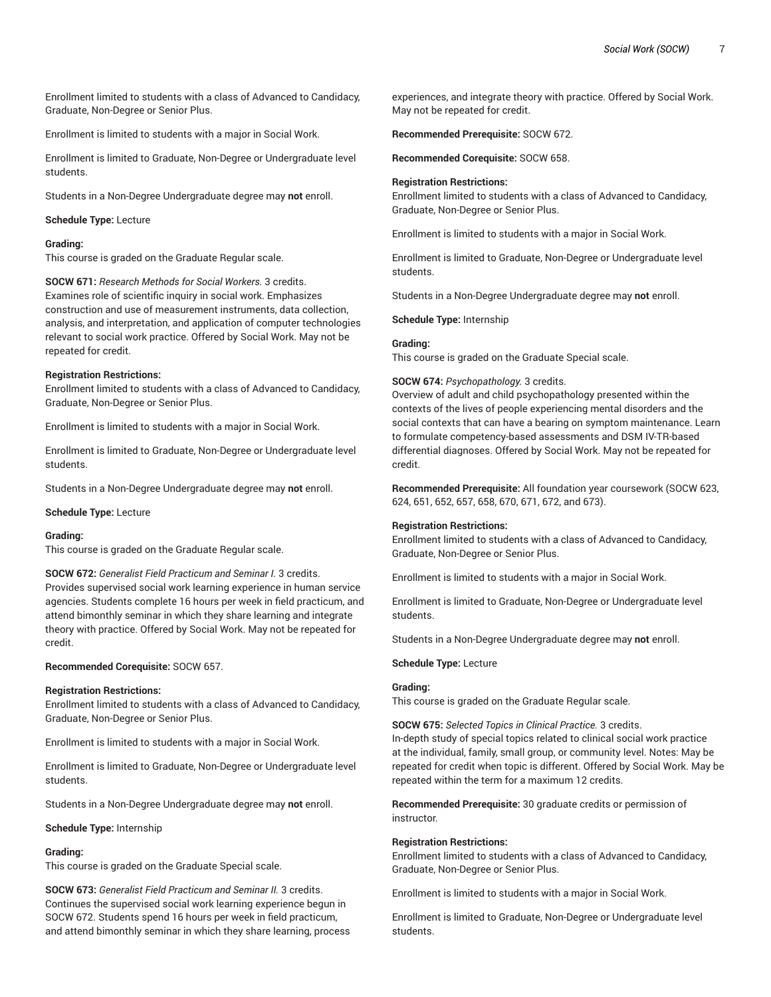Enrollment limited to students with a class of Advanced to Candidacy, Graduate, Non-Degree or Senior Plus.

Enrollment is limited to students with a major in Social Work.

Enrollment is limited to Graduate, Non-Degree or Undergraduate level students.

Students in a Non-Degree Undergraduate degree may **not** enroll.

#### **Schedule Type:** Lecture

## **Grading:**

This course is graded on the Graduate Regular scale.

**SOCW 671:** *Research Methods for Social Workers.* 3 credits. Examines role of scientific inquiry in social work. Emphasizes construction and use of measurement instruments, data collection, analysis, and interpretation, and application of computer technologies relevant to social work practice. Offered by Social Work. May not be repeated for credit.

#### **Registration Restrictions:**

Enrollment limited to students with a class of Advanced to Candidacy, Graduate, Non-Degree or Senior Plus.

Enrollment is limited to students with a major in Social Work.

Enrollment is limited to Graduate, Non-Degree or Undergraduate level students.

Students in a Non-Degree Undergraduate degree may **not** enroll.

**Schedule Type:** Lecture

#### **Grading:**

This course is graded on the Graduate Regular scale.

**SOCW 672:** *Generalist Field Practicum and Seminar I.* 3 credits. Provides supervised social work learning experience in human service agencies. Students complete 16 hours per week in field practicum, and attend bimonthly seminar in which they share learning and integrate theory with practice. Offered by Social Work. May not be repeated for credit.

#### **Recommended Corequisite:** SOCW 657.

#### **Registration Restrictions:**

Enrollment limited to students with a class of Advanced to Candidacy, Graduate, Non-Degree or Senior Plus.

Enrollment is limited to students with a major in Social Work.

Enrollment is limited to Graduate, Non-Degree or Undergraduate level students.

Students in a Non-Degree Undergraduate degree may **not** enroll.

#### **Schedule Type:** Internship

## **Grading:**

This course is graded on the Graduate Special scale.

**SOCW 673:** *Generalist Field Practicum and Seminar II.* 3 credits. Continues the supervised social work learning experience begun in SOCW 672. Students spend 16 hours per week in field practicum, and attend bimonthly seminar in which they share learning, process experiences, and integrate theory with practice. Offered by Social Work. May not be repeated for credit.

**Recommended Prerequisite:** SOCW 672.

**Recommended Corequisite:** SOCW 658.

#### **Registration Restrictions:**

Enrollment limited to students with a class of Advanced to Candidacy, Graduate, Non-Degree or Senior Plus.

Enrollment is limited to students with a major in Social Work.

Enrollment is limited to Graduate, Non-Degree or Undergraduate level students.

Students in a Non-Degree Undergraduate degree may **not** enroll.

**Schedule Type:** Internship

#### **Grading:**

This course is graded on the Graduate Special scale.

#### **SOCW 674:** *Psychopathology.* 3 credits.

Overview of adult and child psychopathology presented within the contexts of the lives of people experiencing mental disorders and the social contexts that can have a bearing on symptom maintenance. Learn to formulate competency-based assessments and DSM IV-TR-based differential diagnoses. Offered by Social Work. May not be repeated for credit.

**Recommended Prerequisite:** All foundation year coursework (SOCW 623, 624, 651, 652, 657, 658, 670, 671, 672, and 673).

#### **Registration Restrictions:**

Enrollment limited to students with a class of Advanced to Candidacy, Graduate, Non-Degree or Senior Plus.

Enrollment is limited to students with a major in Social Work.

Enrollment is limited to Graduate, Non-Degree or Undergraduate level students.

Students in a Non-Degree Undergraduate degree may **not** enroll.

#### **Schedule Type:** Lecture

#### **Grading:**

This course is graded on the Graduate Regular scale.

**SOCW 675:** *Selected Topics in Clinical Practice.* 3 credits. In-depth study of special topics related to clinical social work practice at the individual, family, small group, or community level. Notes: May be repeated for credit when topic is different. Offered by Social Work. May be repeated within the term for a maximum 12 credits.

**Recommended Prerequisite:** 30 graduate credits or permission of instructor.

#### **Registration Restrictions:**

Enrollment limited to students with a class of Advanced to Candidacy, Graduate, Non-Degree or Senior Plus.

Enrollment is limited to students with a major in Social Work.

Enrollment is limited to Graduate, Non-Degree or Undergraduate level students.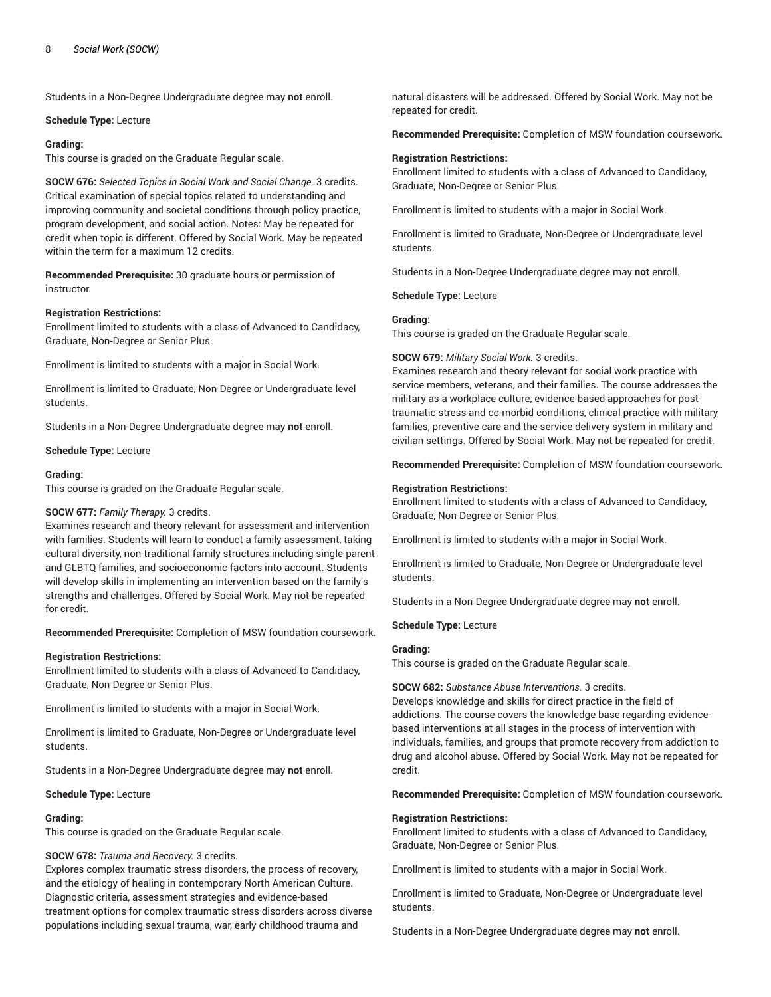Students in a Non-Degree Undergraduate degree may **not** enroll.

#### **Schedule Type:** Lecture

### **Grading:**

This course is graded on the Graduate Regular scale.

**SOCW 676:** *Selected Topics in Social Work and Social Change.* 3 credits. Critical examination of special topics related to understanding and improving community and societal conditions through policy practice, program development, and social action. Notes: May be repeated for credit when topic is different. Offered by Social Work. May be repeated within the term for a maximum 12 credits.

**Recommended Prerequisite:** 30 graduate hours or permission of instructor.

### **Registration Restrictions:**

Enrollment limited to students with a class of Advanced to Candidacy, Graduate, Non-Degree or Senior Plus.

Enrollment is limited to students with a major in Social Work.

Enrollment is limited to Graduate, Non-Degree or Undergraduate level students.

Students in a Non-Degree Undergraduate degree may **not** enroll.

**Schedule Type:** Lecture

### **Grading:**

This course is graded on the Graduate Regular scale.

## **SOCW 677:** *Family Therapy.* 3 credits.

Examines research and theory relevant for assessment and intervention with families. Students will learn to conduct a family assessment, taking cultural diversity, non-traditional family structures including single-parent and GLBTQ families, and socioeconomic factors into account. Students will develop skills in implementing an intervention based on the family's strengths and challenges. Offered by Social Work. May not be repeated for credit.

**Recommended Prerequisite:** Completion of MSW foundation coursework.

## **Registration Restrictions:**

Enrollment limited to students with a class of Advanced to Candidacy, Graduate, Non-Degree or Senior Plus.

Enrollment is limited to students with a major in Social Work.

Enrollment is limited to Graduate, Non-Degree or Undergraduate level students.

Students in a Non-Degree Undergraduate degree may **not** enroll.

**Schedule Type:** Lecture

## **Grading:**

This course is graded on the Graduate Regular scale.

## **SOCW 678:** *Trauma and Recovery.* 3 credits.

Explores complex traumatic stress disorders, the process of recovery, and the etiology of healing in contemporary North American Culture. Diagnostic criteria, assessment strategies and evidence-based treatment options for complex traumatic stress disorders across diverse populations including sexual trauma, war, early childhood trauma and

natural disasters will be addressed. Offered by Social Work. May not be repeated for credit.

**Recommended Prerequisite:** Completion of MSW foundation coursework.

## **Registration Restrictions:**

Enrollment limited to students with a class of Advanced to Candidacy, Graduate, Non-Degree or Senior Plus.

Enrollment is limited to students with a major in Social Work.

Enrollment is limited to Graduate, Non-Degree or Undergraduate level students.

Students in a Non-Degree Undergraduate degree may **not** enroll.

**Schedule Type:** Lecture

## **Grading:**

This course is graded on the Graduate Regular scale.

## **SOCW 679:** *Military Social Work.* 3 credits.

Examines research and theory relevant for social work practice with service members, veterans, and their families. The course addresses the military as a workplace culture, evidence-based approaches for posttraumatic stress and co-morbid conditions, clinical practice with military families, preventive care and the service delivery system in military and civilian settings. Offered by Social Work. May not be repeated for credit.

**Recommended Prerequisite:** Completion of MSW foundation coursework.

### **Registration Restrictions:**

Enrollment limited to students with a class of Advanced to Candidacy, Graduate, Non-Degree or Senior Plus.

Enrollment is limited to students with a major in Social Work.

Enrollment is limited to Graduate, Non-Degree or Undergraduate level students.

Students in a Non-Degree Undergraduate degree may **not** enroll.

**Schedule Type:** Lecture

## **Grading:**

This course is graded on the Graduate Regular scale.

## **SOCW 682:** *Substance Abuse Interventions.* 3 credits.

Develops knowledge and skills for direct practice in the field of addictions. The course covers the knowledge base regarding evidencebased interventions at all stages in the process of intervention with individuals, families, and groups that promote recovery from addiction to drug and alcohol abuse. Offered by Social Work. May not be repeated for credit.

**Recommended Prerequisite:** Completion of MSW foundation coursework.

## **Registration Restrictions:**

Enrollment limited to students with a class of Advanced to Candidacy, Graduate, Non-Degree or Senior Plus.

Enrollment is limited to students with a major in Social Work.

Enrollment is limited to Graduate, Non-Degree or Undergraduate level students.

Students in a Non-Degree Undergraduate degree may **not** enroll.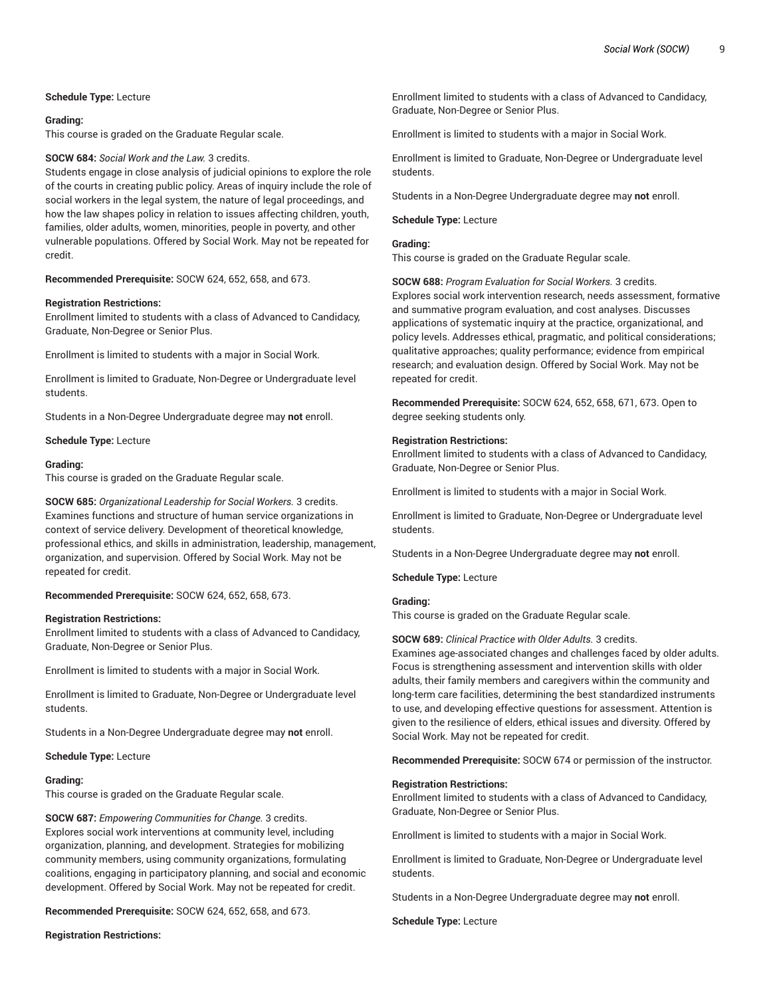## **Schedule Type:** Lecture

#### **Grading:**

This course is graded on the Graduate Regular scale.

#### **SOCW 684:** *Social Work and the Law.* 3 credits.

Students engage in close analysis of judicial opinions to explore the role of the courts in creating public policy. Areas of inquiry include the role of social workers in the legal system, the nature of legal proceedings, and how the law shapes policy in relation to issues affecting children, youth, families, older adults, women, minorities, people in poverty, and other vulnerable populations. Offered by Social Work. May not be repeated for credit.

**Recommended Prerequisite:** SOCW 624, 652, 658, and 673.

## **Registration Restrictions:**

Enrollment limited to students with a class of Advanced to Candidacy, Graduate, Non-Degree or Senior Plus.

Enrollment is limited to students with a major in Social Work.

Enrollment is limited to Graduate, Non-Degree or Undergraduate level students.

Students in a Non-Degree Undergraduate degree may **not** enroll.

**Schedule Type:** Lecture

#### **Grading:**

This course is graded on the Graduate Regular scale.

**SOCW 685:** *Organizational Leadership for Social Workers.* 3 credits. Examines functions and structure of human service organizations in context of service delivery. Development of theoretical knowledge, professional ethics, and skills in administration, leadership, management, organization, and supervision. Offered by Social Work. May not be repeated for credit.

**Recommended Prerequisite:** SOCW 624, 652, 658, 673.

#### **Registration Restrictions:**

Enrollment limited to students with a class of Advanced to Candidacy, Graduate, Non-Degree or Senior Plus.

Enrollment is limited to students with a major in Social Work.

Enrollment is limited to Graduate, Non-Degree or Undergraduate level students.

Students in a Non-Degree Undergraduate degree may **not** enroll.

## **Schedule Type:** Lecture

## **Grading:**

This course is graded on the Graduate Regular scale.

**SOCW 687:** *Empowering Communities for Change.* 3 credits. Explores social work interventions at community level, including organization, planning, and development. Strategies for mobilizing community members, using community organizations, formulating coalitions, engaging in participatory planning, and social and economic development. Offered by Social Work. May not be repeated for credit.

**Recommended Prerequisite:** SOCW 624, 652, 658, and 673.

**Registration Restrictions:**

Enrollment limited to students with a class of Advanced to Candidacy, Graduate, Non-Degree or Senior Plus.

Enrollment is limited to students with a major in Social Work.

Enrollment is limited to Graduate, Non-Degree or Undergraduate level students.

Students in a Non-Degree Undergraduate degree may **not** enroll.

## **Schedule Type:** Lecture

## **Grading:**

This course is graded on the Graduate Regular scale.

**SOCW 688:** *Program Evaluation for Social Workers.* 3 credits. Explores social work intervention research, needs assessment, formative and summative program evaluation, and cost analyses. Discusses applications of systematic inquiry at the practice, organizational, and policy levels. Addresses ethical, pragmatic, and political considerations; qualitative approaches; quality performance; evidence from empirical research; and evaluation design. Offered by Social Work. May not be repeated for credit.

**Recommended Prerequisite:** SOCW 624, 652, 658, 671, 673. Open to degree seeking students only.

#### **Registration Restrictions:**

Enrollment limited to students with a class of Advanced to Candidacy, Graduate, Non-Degree or Senior Plus.

Enrollment is limited to students with a major in Social Work.

Enrollment is limited to Graduate, Non-Degree or Undergraduate level students.

Students in a Non-Degree Undergraduate degree may **not** enroll.

**Schedule Type:** Lecture

## **Grading:**

This course is graded on the Graduate Regular scale.

#### **SOCW 689:** *Clinical Practice with Older Adults.* 3 credits.

Examines age-associated changes and challenges faced by older adults. Focus is strengthening assessment and intervention skills with older adults, their family members and caregivers within the community and long-term care facilities, determining the best standardized instruments to use, and developing effective questions for assessment. Attention is given to the resilience of elders, ethical issues and diversity. Offered by Social Work. May not be repeated for credit.

**Recommended Prerequisite:** SOCW 674 or permission of the instructor.

#### **Registration Restrictions:**

Enrollment limited to students with a class of Advanced to Candidacy, Graduate, Non-Degree or Senior Plus.

Enrollment is limited to students with a major in Social Work.

Enrollment is limited to Graduate, Non-Degree or Undergraduate level students.

Students in a Non-Degree Undergraduate degree may **not** enroll.

**Schedule Type:** Lecture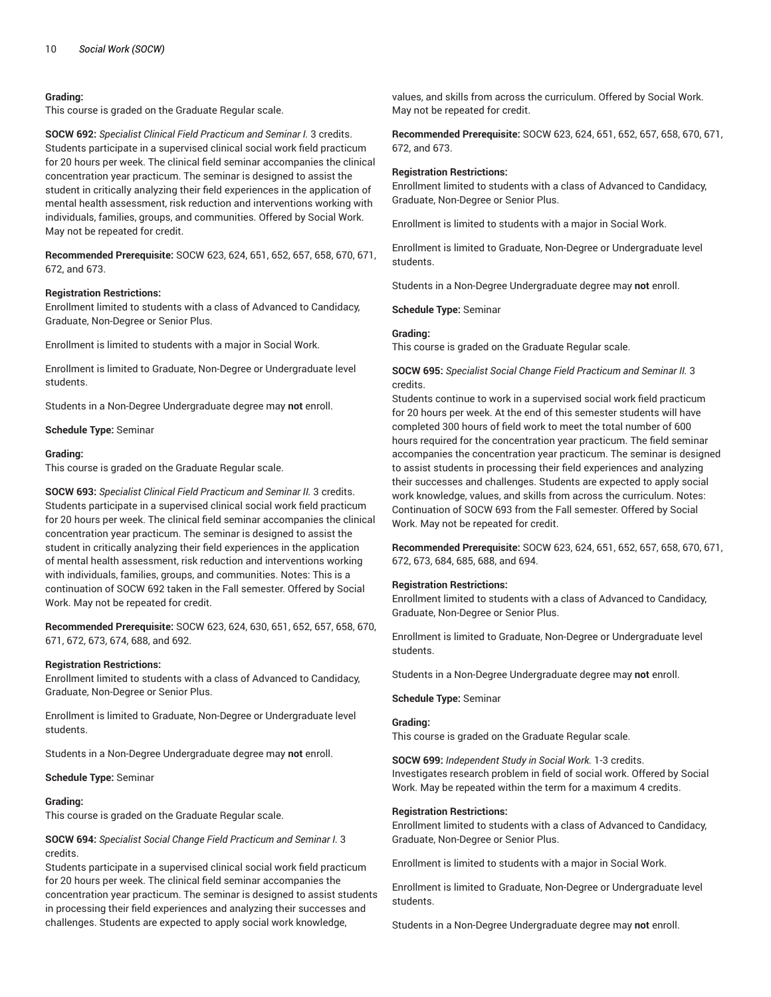## **Grading:**

This course is graded on the Graduate Regular scale.

**SOCW 692:** *Specialist Clinical Field Practicum and Seminar I.* 3 credits. Students participate in a supervised clinical social work field practicum for 20 hours per week. The clinical field seminar accompanies the clinical concentration year practicum. The seminar is designed to assist the student in critically analyzing their field experiences in the application of mental health assessment, risk reduction and interventions working with individuals, families, groups, and communities. Offered by Social Work. May not be repeated for credit.

**Recommended Prerequisite:** SOCW 623, 624, 651, 652, 657, 658, 670, 671, 672, and 673.

## **Registration Restrictions:**

Enrollment limited to students with a class of Advanced to Candidacy, Graduate, Non-Degree or Senior Plus.

Enrollment is limited to students with a major in Social Work.

Enrollment is limited to Graduate, Non-Degree or Undergraduate level students.

Students in a Non-Degree Undergraduate degree may **not** enroll.

**Schedule Type:** Seminar

### **Grading:**

This course is graded on the Graduate Regular scale.

**SOCW 693:** *Specialist Clinical Field Practicum and Seminar II.* 3 credits. Students participate in a supervised clinical social work field practicum for 20 hours per week. The clinical field seminar accompanies the clinical concentration year practicum. The seminar is designed to assist the student in critically analyzing their field experiences in the application of mental health assessment, risk reduction and interventions working with individuals, families, groups, and communities. Notes: This is a continuation of SOCW 692 taken in the Fall semester. Offered by Social Work. May not be repeated for credit.

**Recommended Prerequisite:** SOCW 623, 624, 630, 651, 652, 657, 658, 670, 671, 672, 673, 674, 688, and 692.

#### **Registration Restrictions:**

Enrollment limited to students with a class of Advanced to Candidacy, Graduate, Non-Degree or Senior Plus.

Enrollment is limited to Graduate, Non-Degree or Undergraduate level students.

Students in a Non-Degree Undergraduate degree may **not** enroll.

#### **Schedule Type:** Seminar

#### **Grading:**

This course is graded on the Graduate Regular scale.

**SOCW 694:** *Specialist Social Change Field Practicum and Seminar I.* 3 credits.

Students participate in a supervised clinical social work field practicum for 20 hours per week. The clinical field seminar accompanies the concentration year practicum. The seminar is designed to assist students in processing their field experiences and analyzing their successes and challenges. Students are expected to apply social work knowledge,

values, and skills from across the curriculum. Offered by Social Work. May not be repeated for credit.

**Recommended Prerequisite:** SOCW 623, 624, 651, 652, 657, 658, 670, 671, 672, and 673.

### **Registration Restrictions:**

Enrollment limited to students with a class of Advanced to Candidacy, Graduate, Non-Degree or Senior Plus.

Enrollment is limited to students with a major in Social Work.

Enrollment is limited to Graduate, Non-Degree or Undergraduate level students.

Students in a Non-Degree Undergraduate degree may **not** enroll.

**Schedule Type:** Seminar

## **Grading:**

This course is graded on the Graduate Regular scale.

**SOCW 695:** *Specialist Social Change Field Practicum and Seminar II.* 3 credits.

Students continue to work in a supervised social work field practicum for 20 hours per week. At the end of this semester students will have completed 300 hours of field work to meet the total number of 600 hours required for the concentration year practicum. The field seminar accompanies the concentration year practicum. The seminar is designed to assist students in processing their field experiences and analyzing their successes and challenges. Students are expected to apply social work knowledge, values, and skills from across the curriculum. Notes: Continuation of SOCW 693 from the Fall semester. Offered by Social Work. May not be repeated for credit.

**Recommended Prerequisite:** SOCW 623, 624, 651, 652, 657, 658, 670, 671, 672, 673, 684, 685, 688, and 694.

#### **Registration Restrictions:**

Enrollment limited to students with a class of Advanced to Candidacy, Graduate, Non-Degree or Senior Plus.

Enrollment is limited to Graduate, Non-Degree or Undergraduate level students.

Students in a Non-Degree Undergraduate degree may **not** enroll.

#### **Schedule Type:** Seminar

### **Grading:**

This course is graded on the Graduate Regular scale.

**SOCW 699:** *Independent Study in Social Work.* 1-3 credits. Investigates research problem in field of social work. Offered by Social Work. May be repeated within the term for a maximum 4 credits.

#### **Registration Restrictions:**

Enrollment limited to students with a class of Advanced to Candidacy, Graduate, Non-Degree or Senior Plus.

Enrollment is limited to students with a major in Social Work.

Enrollment is limited to Graduate, Non-Degree or Undergraduate level students.

Students in a Non-Degree Undergraduate degree may **not** enroll.